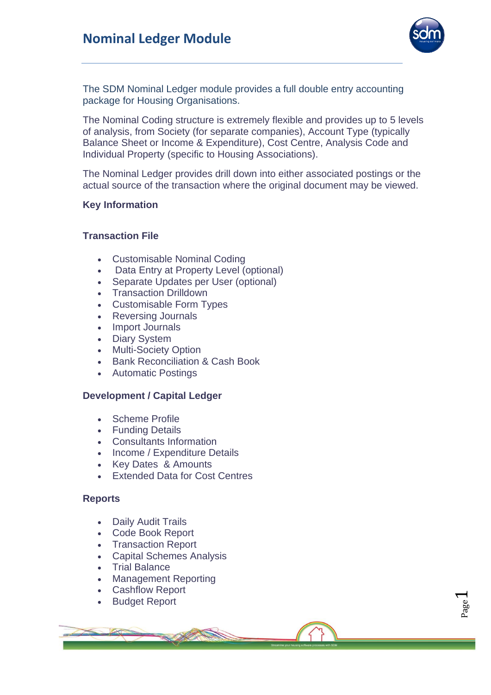

Page  $\overline{\phantom{0}}$ 

The SDM Nominal Ledger module provides a full double entry accounting package for Housing Organisations.

The Nominal Coding structure is extremely flexible and provides up to 5 levels of analysis, from Society (for separate companies), Account Type (typically Balance Sheet or Income & Expenditure), Cost Centre, Analysis Code and Individual Property (specific to Housing Associations).

The Nominal Ledger provides drill down into either associated postings or the actual source of the transaction where the original document may be viewed.

# **Key Information**

# **Transaction File**

- Customisable Nominal Coding
- Data Entry at Property Level (optional)
- Separate Updates per User (optional)
- Transaction Drilldown
- Customisable Form Types
- Reversing Journals
- Import Journals
- Diary System
- Multi-Society Option
- Bank Reconciliation & Cash Book
- Automatic Postings

#### **Development / Capital Ledger**

- Scheme Profile
- Funding Details
- Consultants Information
- Income / Expenditure Details
- Key Dates & Amounts
- Extended Data for Cost Centres

#### **Reports**

- Daily Audit Trails
- Code Book Report
- Transaction Report
- Capital Schemes Analysis
- Trial Balance
- Management Reporting
- Cashflow Report
- Budget Report